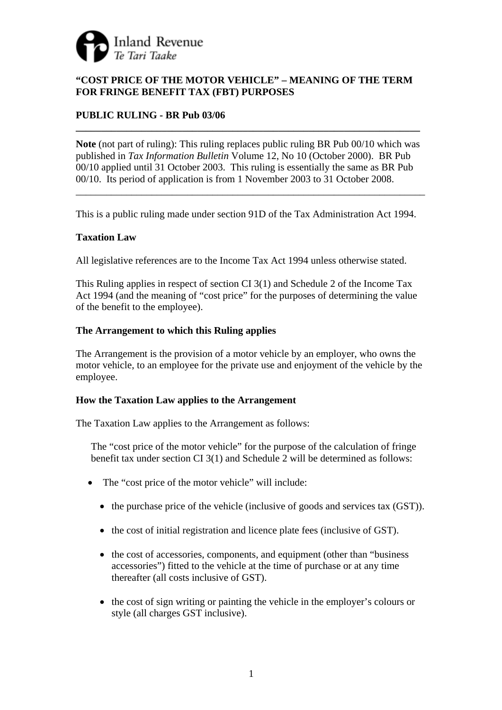

# **"COST PRICE OF THE MOTOR VEHICLE" – MEANING OF THE TERM FOR FRINGE BENEFIT TAX (FBT) PURPOSES**

# **PUBLIC RULING - BR Pub 03/06**

**Note** (not part of ruling): This ruling replaces public ruling BR Pub 00/10 which was published in *Tax Information Bulletin* Volume 12, No 10 (October 2000). BR Pub 00/10 applied until 31 October 2003. This ruling is essentially the same as BR Pub 00/10. Its period of application is from 1 November 2003 to 31 October 2008.

\_\_\_\_\_\_\_\_\_\_\_\_\_\_\_\_\_\_\_\_\_\_\_\_\_\_\_\_\_\_\_\_\_\_\_\_\_\_\_\_\_\_\_\_\_\_\_\_\_\_\_\_\_\_\_\_\_\_\_\_\_\_\_\_\_\_\_\_\_

**\_\_\_\_\_\_\_\_\_\_\_\_\_\_\_\_\_\_\_\_\_\_\_\_\_\_\_\_\_\_\_\_\_\_\_\_\_\_\_\_\_\_\_\_\_\_\_\_\_\_\_\_\_\_\_\_\_\_\_\_\_\_\_\_\_\_\_\_** 

This is a public ruling made under section 91D of the Tax Administration Act 1994.

## **Taxation Law**

All legislative references are to the Income Tax Act 1994 unless otherwise stated.

This Ruling applies in respect of section CI 3(1) and Schedule 2 of the Income Tax Act 1994 (and the meaning of "cost price" for the purposes of determining the value of the benefit to the employee).

## **The Arrangement to which this Ruling applies**

The Arrangement is the provision of a motor vehicle by an employer, who owns the motor vehicle, to an employee for the private use and enjoyment of the vehicle by the employee.

## **How the Taxation Law applies to the Arrangement**

The Taxation Law applies to the Arrangement as follows:

The "cost price of the motor vehicle" for the purpose of the calculation of fringe benefit tax under section CI 3(1) and Schedule 2 will be determined as follows:

- The "cost price of the motor vehicle" will include:
	- the purchase price of the vehicle (inclusive of goods and services tax (GST)).
	- the cost of initial registration and licence plate fees (inclusive of GST).
	- the cost of accessories, components, and equipment (other than "business" accessories") fitted to the vehicle at the time of purchase or at any time thereafter (all costs inclusive of GST).
	- the cost of sign writing or painting the vehicle in the employer's colours or style (all charges GST inclusive).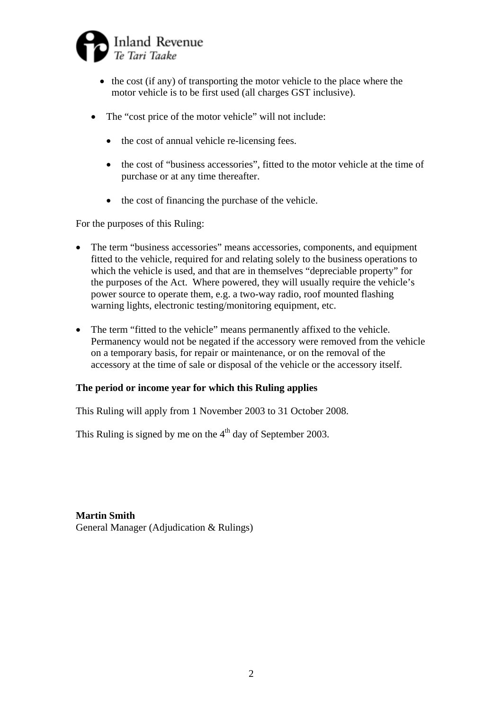

- the cost (if any) of transporting the motor vehicle to the place where the motor vehicle is to be first used (all charges GST inclusive).
- The "cost price of the motor vehicle" will not include:
	- the cost of annual vehicle re-licensing fees.
	- the cost of "business accessories", fitted to the motor vehicle at the time of purchase or at any time thereafter.
	- the cost of financing the purchase of the vehicle.

For the purposes of this Ruling:

- The term "business accessories" means accessories, components, and equipment fitted to the vehicle, required for and relating solely to the business operations to which the vehicle is used, and that are in themselves "depreciable property" for the purposes of the Act. Where powered, they will usually require the vehicle's power source to operate them, e.g. a two-way radio, roof mounted flashing warning lights, electronic testing/monitoring equipment, etc.
- The term "fitted to the vehicle" means permanently affixed to the vehicle. Permanency would not be negated if the accessory were removed from the vehicle on a temporary basis, for repair or maintenance, or on the removal of the accessory at the time of sale or disposal of the vehicle or the accessory itself.

## **The period or income year for which this Ruling applies**

This Ruling will apply from 1 November 2003 to 31 October 2008.

This Ruling is signed by me on the  $4<sup>th</sup>$  day of September 2003.

**Martin Smith**  General Manager (Adjudication & Rulings)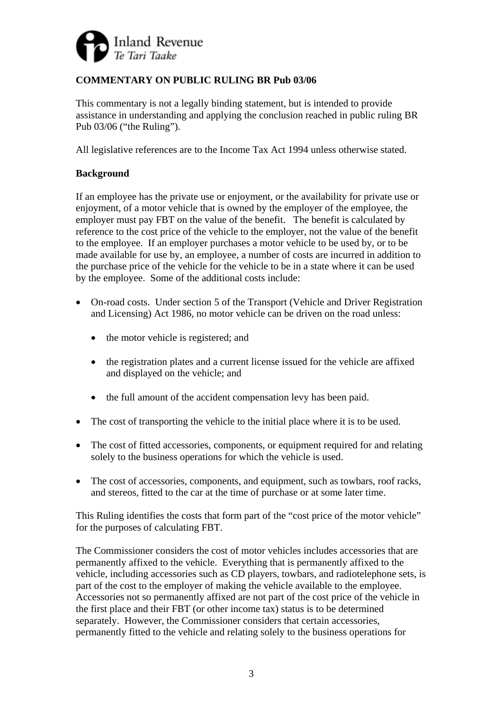

# **COMMENTARY ON PUBLIC RULING BR Pub 03/06**

This commentary is not a legally binding statement, but is intended to provide assistance in understanding and applying the conclusion reached in public ruling BR Pub 03/06 ("the Ruling").

All legislative references are to the Income Tax Act 1994 unless otherwise stated.

# **Background**

If an employee has the private use or enjoyment, or the availability for private use or enjoyment, of a motor vehicle that is owned by the employer of the employee, the employer must pay FBT on the value of the benefit. The benefit is calculated by reference to the cost price of the vehicle to the employer, not the value of the benefit to the employee. If an employer purchases a motor vehicle to be used by, or to be made available for use by, an employee, a number of costs are incurred in addition to the purchase price of the vehicle for the vehicle to be in a state where it can be used by the employee. Some of the additional costs include:

- On-road costs. Under section 5 of the Transport (Vehicle and Driver Registration and Licensing) Act 1986, no motor vehicle can be driven on the road unless:
	- the motor vehicle is registered; and
	- the registration plates and a current license issued for the vehicle are affixed and displayed on the vehicle; and
	- the full amount of the accident compensation levy has been paid.
- The cost of transporting the vehicle to the initial place where it is to be used.
- The cost of fitted accessories, components, or equipment required for and relating solely to the business operations for which the vehicle is used.
- The cost of accessories, components, and equipment, such as towbars, roof racks, and stereos, fitted to the car at the time of purchase or at some later time.

This Ruling identifies the costs that form part of the "cost price of the motor vehicle" for the purposes of calculating FBT.

The Commissioner considers the cost of motor vehicles includes accessories that are permanently affixed to the vehicle. Everything that is permanently affixed to the vehicle, including accessories such as CD players, towbars, and radiotelephone sets, is part of the cost to the employer of making the vehicle available to the employee. Accessories not so permanently affixed are not part of the cost price of the vehicle in the first place and their FBT (or other income tax) status is to be determined separately. However, the Commissioner considers that certain accessories, permanently fitted to the vehicle and relating solely to the business operations for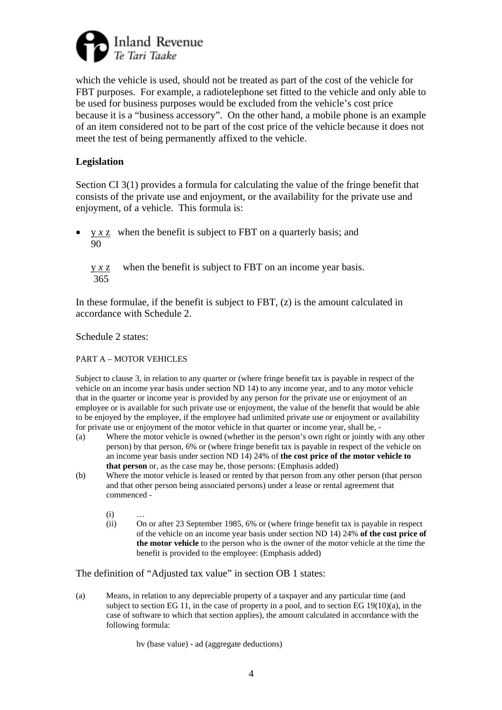

which the vehicle is used, should not be treated as part of the cost of the vehicle for FBT purposes. For example, a radiotelephone set fitted to the vehicle and only able to be used for business purposes would be excluded from the vehicle's cost price because it is a "business accessory". On the other hand, a mobile phone is an example of an item considered not to be part of the cost price of the vehicle because it does not meet the test of being permanently affixed to the vehicle.

## **Legislation**

Section CI 3(1) provides a formula for calculating the value of the fringe benefit that consists of the private use and enjoyment, or the availability for the private use and enjoyment, of a vehicle. This formula is:

• y *x* z when the benefit is subject to FBT on a quarterly basis; and 90

y *x* z when the benefit is subject to FBT on an income year basis. 365

In these formulae, if the benefit is subject to  $FBT$ ,  $(z)$  is the amount calculated in accordance with Schedule 2.

Schedule 2 states:

PART A – MOTOR VEHICLES

Subject to clause 3, in relation to any quarter or (where fringe benefit tax is payable in respect of the vehicle on an income year basis under section ND 14) to any income year, and to any motor vehicle that in the quarter or income year is provided by any person for the private use or enjoyment of an employee or is available for such private use or enjoyment, the value of the benefit that would be able to be enjoyed by the employee, if the employee had unlimited private use or enjoyment or availability for private use or enjoyment of the motor vehicle in that quarter or income year, shall be, -

- (a) Where the motor vehicle is owned (whether in the person's own right or jointly with any other person) by that person, 6% or (where fringe benefit tax is payable in respect of the vehicle on an income year basis under section ND 14) 24% of **the cost price of the motor vehicle to that person** or, as the case may be, those persons: (Emphasis added)
- (b) Where the motor vehicle is leased or rented by that person from any other person (that person and that other person being associated persons) under a lease or rental agreement that commenced -
	- $(i)$
	- (ii) On or after 23 September 1985, 6% or (where fringe benefit tax is payable in respect of the vehicle on an income year basis under section ND 14) 24% **of the cost price of the motor vehicle** to the person who is the owner of the motor vehicle at the time the benefit is provided to the employee: (Emphasis added)

The definition of "Adjusted tax value" in section OB 1 states:

(a) Means, in relation to any depreciable property of a taxpayer and any particular time (and subject to section EG 11, in the case of property in a pool, and to section EG 19(10)(a), in the case of software to which that section applies), the amount calculated in accordance with the following formula:

bv (base value) - ad (aggregate deductions)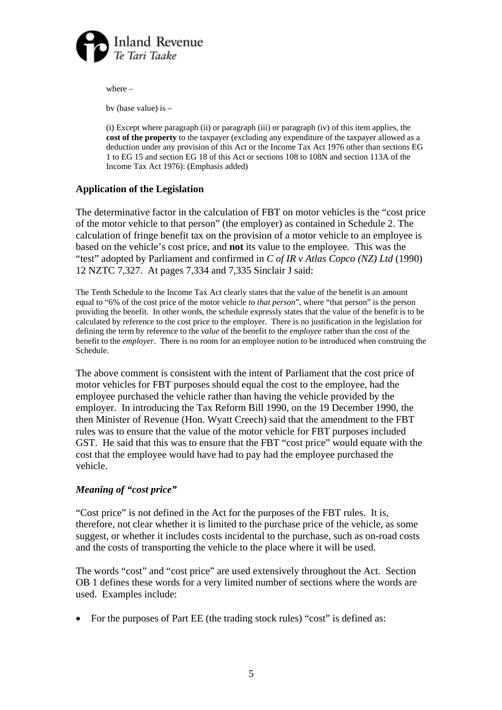

where –

bv (base value) is –

 (i) Except where paragraph (ii) or paragraph (iii) or paragraph (iv) of this item applies, the **cost of the property** to the taxpayer (excluding any expenditure of the taxpayer allowed as a deduction under any provision of this Act or the Income Tax Act 1976 other than sections EG 1 to EG 15 and section EG 18 of this Act or sections 108 to 108N and section 113A of the Income Tax Act 1976): (Emphasis added)

## **Application of the Legislation**

The determinative factor in the calculation of FBT on motor vehicles is the "cost price of the motor vehicle to that person" (the employer) as contained in Schedule 2. The calculation of fringe benefit tax on the provision of a motor vehicle to an employee is based on the vehicle's cost price, and **not** its value to the employee. This was the "test" adopted by Parliament and confirmed in *C of IR v Atlas Copco (NZ) Ltd* (1990) 12 NZTC 7,327. At pages 7,334 and 7,335 Sinclair J said:

The Tenth Schedule to the Income Tax Act clearly states that the value of the benefit is an amount equal to "6% of the cost price of the motor vehicle *to that person*", where "that person" is the person providing the benefit. In other words, the schedule expressly states that the value of the benefit is to be calculated by reference to the cost price to the employer. There is no justification in the legislation for defining the term by reference to the *value* of the benefit to the *employee* rather than the cost of the benefit to the *employer*. There is no room for an employee notion to be introduced when construing the Schedule.

The above comment is consistent with the intent of Parliament that the cost price of motor vehicles for FBT purposes should equal the cost to the employee, had the employee purchased the vehicle rather than having the vehicle provided by the employer. In introducing the Tax Reform Bill 1990, on the 19 December 1990, the then Minister of Revenue (Hon. Wyatt Creech) said that the amendment to the FBT rules was to ensure that the value of the motor vehicle for FBT purposes included GST. He said that this was to ensure that the FBT "cost price" would equate with the cost that the employee would have had to pay had the employee purchased the vehicle.

## *Meaning of "cost price"*

"Cost price" is not defined in the Act for the purposes of the FBT rules. It is, therefore, not clear whether it is limited to the purchase price of the vehicle, as some suggest, or whether it includes costs incidental to the purchase, such as on-road costs and the costs of transporting the vehicle to the place where it will be used.

The words "cost" and "cost price" are used extensively throughout the Act. Section OB 1 defines these words for a very limited number of sections where the words are used. Examples include:

• For the purposes of Part EE (the trading stock rules) "cost" is defined as: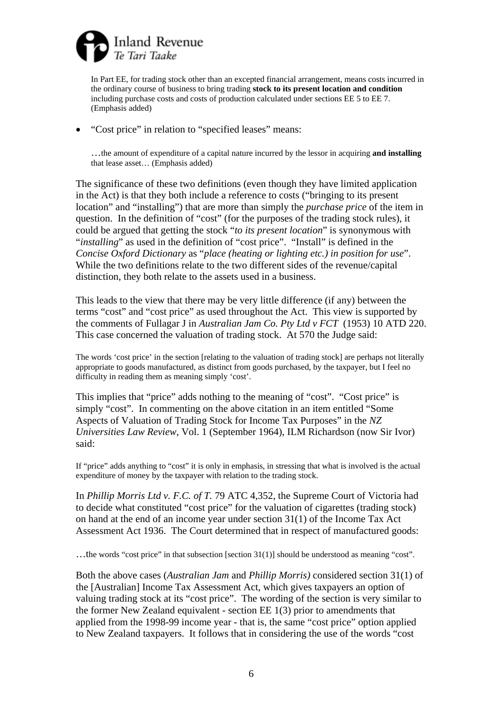

In Part EE, for trading stock other than an excepted financial arrangement, means costs incurred in the ordinary course of business to bring trading **stock to its present location and condition**  including purchase costs and costs of production calculated under sections EE 5 to EE 7. (Emphasis added)

• "Cost price" in relation to "specified leases" means:

…the amount of expenditure of a capital nature incurred by the lessor in acquiring **and installing** that lease asset… (Emphasis added)

The significance of these two definitions (even though they have limited application in the Act) is that they both include a reference to costs ("bringing to its present location" and "installing") that are more than simply the *purchase price* of the item in question. In the definition of "cost" (for the purposes of the trading stock rules), it could be argued that getting the stock "*to its present location*" is synonymous with "*installing*" as used in the definition of "cost price". "Install" is defined in the *Concise Oxford Dictionary* as "*place (heating or lighting etc.) in position for use*". While the two definitions relate to the two different sides of the revenue/capital distinction, they both relate to the assets used in a business.

This leads to the view that there may be very little difference (if any) between the terms "cost" and "cost price" as used throughout the Act. This view is supported by the comments of Fullagar J in *Australian Jam Co. Pty Ltd v FCT* (1953) 10 ATD 220. This case concerned the valuation of trading stock. At 570 the Judge said:

The words 'cost price' in the section [relating to the valuation of trading stock] are perhaps not literally appropriate to goods manufactured, as distinct from goods purchased, by the taxpayer, but I feel no difficulty in reading them as meaning simply 'cost'.

This implies that "price" adds nothing to the meaning of "cost". "Cost price" is simply "cost". In commenting on the above citation in an item entitled "Some Aspects of Valuation of Trading Stock for Income Tax Purposes" in the *NZ Universities Law Review*, Vol. 1 (September 1964), ILM Richardson (now Sir Ivor) said:

If "price" adds anything to "cost" it is only in emphasis, in stressing that what is involved is the actual expenditure of money by the taxpayer with relation to the trading stock.

In *Phillip Morris Ltd v. F.C. of T.* 79 ATC 4,352, the Supreme Court of Victoria had to decide what constituted "cost price" for the valuation of cigarettes (trading stock) on hand at the end of an income year under section 31(1) of the Income Tax Act Assessment Act 1936. The Court determined that in respect of manufactured goods:

…the words "cost price" in that subsection [section 31(1)] should be understood as meaning "cost".

Both the above cases (*Australian Jam* and *Phillip Morris)* considered section 31(1) of the [Australian] Income Tax Assessment Act, which gives taxpayers an option of valuing trading stock at its "cost price". The wording of the section is very similar to the former New Zealand equivalent - section EE 1(3) prior to amendments that applied from the 1998-99 income year - that is, the same "cost price" option applied to New Zealand taxpayers. It follows that in considering the use of the words "cost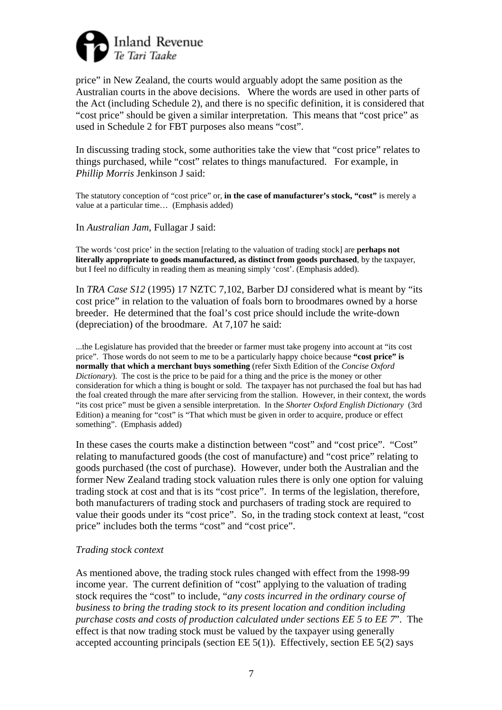

price" in New Zealand, the courts would arguably adopt the same position as the Australian courts in the above decisions. Where the words are used in other parts of the Act (including Schedule 2), and there is no specific definition, it is considered that "cost price" should be given a similar interpretation. This means that "cost price" as used in Schedule 2 for FBT purposes also means "cost".

In discussing trading stock, some authorities take the view that "cost price" relates to things purchased, while "cost" relates to things manufactured. For example, in *Phillip Morris* Jenkinson J said:

The statutory conception of "cost price" or, **in the case of manufacturer's stock, "cost"** is merely a value at a particular time… (Emphasis added)

In *Australian Jam*, Fullagar J said:

The words 'cost price' in the section [relating to the valuation of trading stock] are **perhaps not literally appropriate to goods manufactured, as distinct from goods purchased**, by the taxpayer, but I feel no difficulty in reading them as meaning simply 'cost'. (Emphasis added).

In *TRA Case S12* (1995) 17 NZTC 7,102, Barber DJ considered what is meant by "its cost price" in relation to the valuation of foals born to broodmares owned by a horse breeder. He determined that the foal's cost price should include the write-down (depreciation) of the broodmare. At 7,107 he said:

...the Legislature has provided that the breeder or farmer must take progeny into account at "its cost price". Those words do not seem to me to be a particularly happy choice because **"cost price" is normally that which a merchant buys something** (refer Sixth Edition of the *Concise Oxford Dictionary*). The cost is the price to be paid for a thing and the price is the money or other consideration for which a thing is bought or sold. The taxpayer has not purchased the foal but has had the foal created through the mare after servicing from the stallion. However, in their context, the words "its cost price" must be given a sensible interpretation. In the *Shorter Oxford English Dictionary* (3rd Edition) a meaning for "cost" is "That which must be given in order to acquire, produce or effect something". (Emphasis added)

In these cases the courts make a distinction between "cost" and "cost price". "Cost" relating to manufactured goods (the cost of manufacture) and "cost price" relating to goods purchased (the cost of purchase). However, under both the Australian and the former New Zealand trading stock valuation rules there is only one option for valuing trading stock at cost and that is its "cost price". In terms of the legislation, therefore, both manufacturers of trading stock and purchasers of trading stock are required to value their goods under its "cost price". So, in the trading stock context at least, "cost price" includes both the terms "cost" and "cost price".

#### *Trading stock context*

As mentioned above, the trading stock rules changed with effect from the 1998-99 income year. The current definition of "cost" applying to the valuation of trading stock requires the "cost" to include, "*any costs incurred in the ordinary course of business to bring the trading stock to its present location and condition including purchase costs and costs of production calculated under sections EE 5 to EE 7*". The effect is that now trading stock must be valued by the taxpayer using generally accepted accounting principals (section  $EE 5(1)$ ). Effectively, section  $EE 5(2)$  says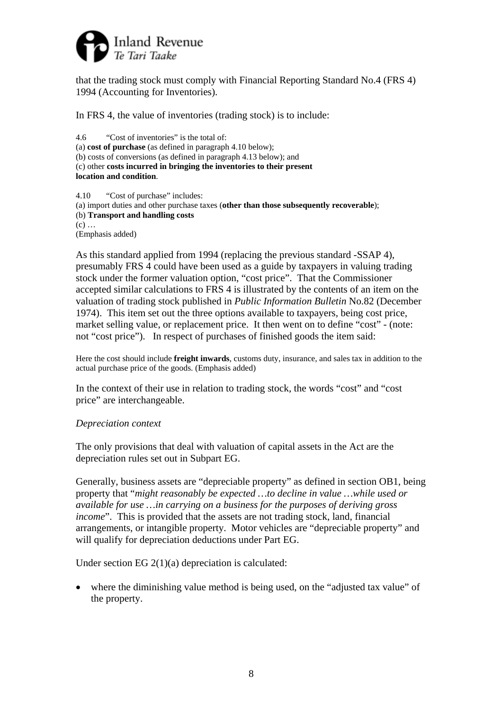

that the trading stock must comply with Financial Reporting Standard No.4 (FRS 4) 1994 (Accounting for Inventories).

In FRS 4, the value of inventories (trading stock) is to include:

```
4.6 "Cost of inventories" is the total of: 
(a) cost of purchase (as defined in paragraph 4.10 below); 
(b) costs of conversions (as defined in paragraph 4.13 below); and 
(c) other costs incurred in bringing the inventories to their present 
location and condition.
```
4.10 "Cost of purchase" includes: (a) import duties and other purchase taxes (**other than those subsequently recoverable**); (b) **Transport and handling costs**  $(c)$  ... (Emphasis added)

As this standard applied from 1994 (replacing the previous standard -SSAP 4), presumably FRS 4 could have been used as a guide by taxpayers in valuing trading stock under the former valuation option, "cost price". That the Commissioner accepted similar calculations to FRS 4 is illustrated by the contents of an item on the valuation of trading stock published in *Public Information Bulletin* No.82 (December 1974). This item set out the three options available to taxpayers, being cost price, market selling value, or replacement price. It then went on to define "cost" - (note: not "cost price"). In respect of purchases of finished goods the item said:

Here the cost should include **freight inwards**, customs duty, insurance, and sales tax in addition to the actual purchase price of the goods. (Emphasis added)

In the context of their use in relation to trading stock, the words "cost" and "cost price" are interchangeable.

## *Depreciation context*

The only provisions that deal with valuation of capital assets in the Act are the depreciation rules set out in Subpart EG.

Generally, business assets are "depreciable property" as defined in section OB1, being property that "*might reasonably be expected …to decline in value …while used or available for use …in carrying on a business for the purposes of deriving gross income*". This is provided that the assets are not trading stock, land, financial arrangements, or intangible property. Motor vehicles are "depreciable property" and will qualify for depreciation deductions under Part EG.

Under section EG 2(1)(a) depreciation is calculated:

• where the diminishing value method is being used, on the "adjusted tax value" of the property.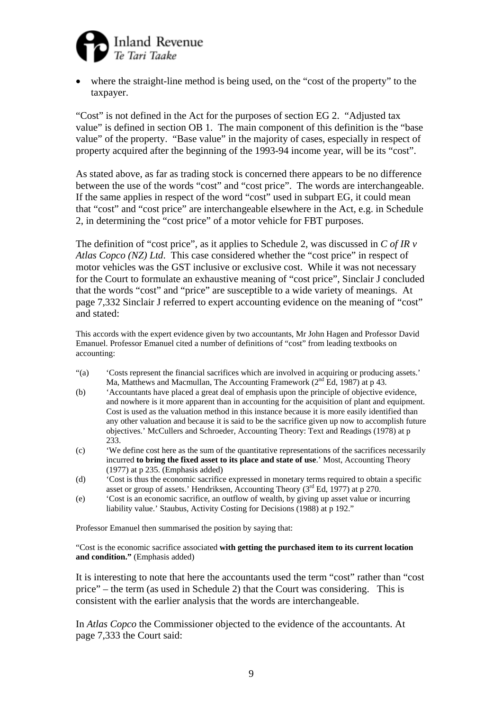

where the straight-line method is being used, on the "cost of the property" to the taxpayer.

"Cost" is not defined in the Act for the purposes of section EG 2. "Adjusted tax value" is defined in section OB 1. The main component of this definition is the "base value" of the property. "Base value" in the majority of cases, especially in respect of property acquired after the beginning of the 1993-94 income year, will be its "cost".

As stated above, as far as trading stock is concerned there appears to be no difference between the use of the words "cost" and "cost price". The words are interchangeable. If the same applies in respect of the word "cost" used in subpart EG, it could mean that "cost" and "cost price" are interchangeable elsewhere in the Act, e.g. in Schedule 2, in determining the "cost price" of a motor vehicle for FBT purposes.

The definition of "cost price", as it applies to Schedule 2, was discussed in *C of IR v Atlas Copco (NZ) Ltd*. This case considered whether the "cost price" in respect of motor vehicles was the GST inclusive or exclusive cost. While it was not necessary for the Court to formulate an exhaustive meaning of "cost price", Sinclair J concluded that the words "cost" and "price" are susceptible to a wide variety of meanings. At page 7,332 Sinclair J referred to expert accounting evidence on the meaning of "cost" and stated:

This accords with the expert evidence given by two accountants, Mr John Hagen and Professor David Emanuel. Professor Emanuel cited a number of definitions of "cost" from leading textbooks on accounting:

- "(a) 'Costs represent the financial sacrifices which are involved in acquiring or producing assets.' Ma, Matthews and Macmullan, The Accounting Framework  $(2^{nd}$  Ed, 1987) at p 43.
- (b) 'Accountants have placed a great deal of emphasis upon the principle of objective evidence, and nowhere is it more apparent than in accounting for the acquisition of plant and equipment. Cost is used as the valuation method in this instance because it is more easily identified than any other valuation and because it is said to be the sacrifice given up now to accomplish future objectives.' McCullers and Schroeder, Accounting Theory: Text and Readings (1978) at p 233.
- (c) 'We define cost here as the sum of the quantitative representations of the sacrifices necessarily incurred **to bring the fixed asset to its place and state of use**.' Most, Accounting Theory (1977) at p 235. (Emphasis added)
- (d) 'Cost is thus the economic sacrifice expressed in monetary terms required to obtain a specific asset or group of assets.' Hendriksen, Accounting Theory  $(3<sup>rd</sup> Ed, 1977)$  at p 270.
- (e) 'Cost is an economic sacrifice, an outflow of wealth, by giving up asset value or incurring liability value.' Staubus, Activity Costing for Decisions (1988) at p 192."

Professor Emanuel then summarised the position by saying that:

"Cost is the economic sacrifice associated **with getting the purchased item to its current location and condition."** (Emphasis added)

It is interesting to note that here the accountants used the term "cost" rather than "cost price" – the term (as used in Schedule 2) that the Court was considering. This is consistent with the earlier analysis that the words are interchangeable.

In *Atlas Copco* the Commissioner objected to the evidence of the accountants. At page 7,333 the Court said: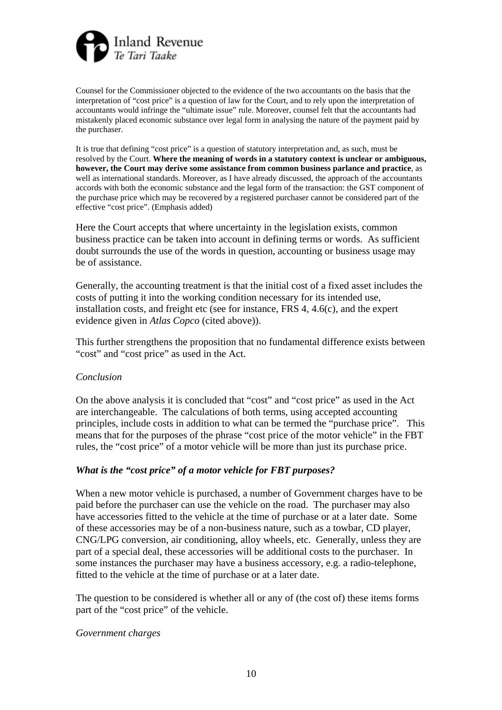

Counsel for the Commissioner objected to the evidence of the two accountants on the basis that the interpretation of "cost price" is a question of law for the Court, and to rely upon the interpretation of accountants would infringe the "ultimate issue" rule. Moreover, counsel felt that the accountants had mistakenly placed economic substance over legal form in analysing the nature of the payment paid by the purchaser.

It is true that defining "cost price" is a question of statutory interpretation and, as such, must be resolved by the Court. **Where the meaning of words in a statutory context is unclear or ambiguous, however, the Court may derive some assistance from common business parlance and practice**, as well as international standards. Moreover, as I have already discussed, the approach of the accountants accords with both the economic substance and the legal form of the transaction: the GST component of the purchase price which may be recovered by a registered purchaser cannot be considered part of the effective "cost price". (Emphasis added)

Here the Court accepts that where uncertainty in the legislation exists, common business practice can be taken into account in defining terms or words. As sufficient doubt surrounds the use of the words in question, accounting or business usage may be of assistance.

Generally, the accounting treatment is that the initial cost of a fixed asset includes the costs of putting it into the working condition necessary for its intended use, installation costs, and freight etc (see for instance, FRS 4, 4.6(c), and the expert evidence given in *Atlas Copco* (cited above)).

This further strengthens the proposition that no fundamental difference exists between "cost" and "cost price" as used in the Act.

## *Conclusion*

On the above analysis it is concluded that "cost" and "cost price" as used in the Act are interchangeable. The calculations of both terms, using accepted accounting principles, include costs in addition to what can be termed the "purchase price". This means that for the purposes of the phrase "cost price of the motor vehicle" in the FBT rules, the "cost price" of a motor vehicle will be more than just its purchase price.

#### *What is the "cost price" of a motor vehicle for FBT purposes?*

When a new motor vehicle is purchased, a number of Government charges have to be paid before the purchaser can use the vehicle on the road. The purchaser may also have accessories fitted to the vehicle at the time of purchase or at a later date. Some of these accessories may be of a non-business nature, such as a towbar, CD player, CNG/LPG conversion, air conditioning, alloy wheels, etc. Generally, unless they are part of a special deal, these accessories will be additional costs to the purchaser. In some instances the purchaser may have a business accessory, e.g. a radio-telephone, fitted to the vehicle at the time of purchase or at a later date.

The question to be considered is whether all or any of (the cost of) these items forms part of the "cost price" of the vehicle.

#### *Government charges*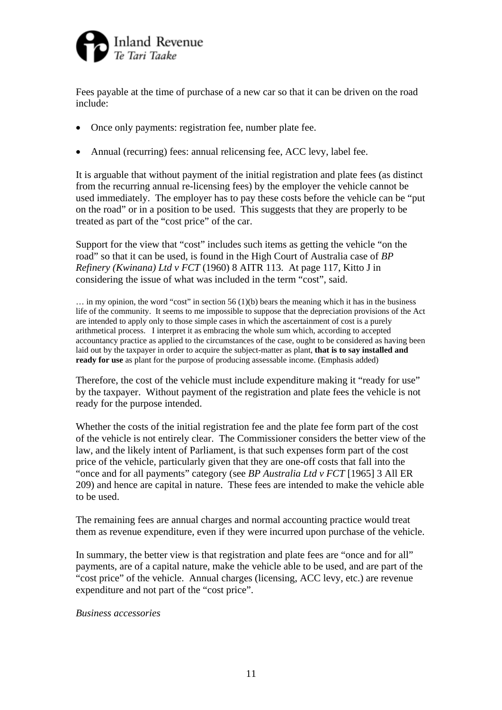

Fees payable at the time of purchase of a new car so that it can be driven on the road include:

- Once only payments: registration fee, number plate fee.
- Annual (recurring) fees: annual relicensing fee, ACC levy, label fee.

It is arguable that without payment of the initial registration and plate fees (as distinct from the recurring annual re-licensing fees) by the employer the vehicle cannot be used immediately. The employer has to pay these costs before the vehicle can be "put on the road" or in a position to be used. This suggests that they are properly to be treated as part of the "cost price" of the car.

Support for the view that "cost" includes such items as getting the vehicle "on the road" so that it can be used, is found in the High Court of Australia case of *BP Refinery (Kwinana) Ltd v FCT* (1960) 8 AITR 113. At page 117, Kitto J in considering the issue of what was included in the term "cost", said.

 $\ldots$  in my opinion, the word "cost" in section 56 (1)(b) bears the meaning which it has in the business life of the community. It seems to me impossible to suppose that the depreciation provisions of the Act are intended to apply only to those simple cases in which the ascertainment of cost is a purely arithmetical process. I interpret it as embracing the whole sum which, according to accepted accountancy practice as applied to the circumstances of the case, ought to be considered as having been laid out by the taxpayer in order to acquire the subject-matter as plant, **that is to say installed and ready for use** as plant for the purpose of producing assessable income. (Emphasis added)

Therefore, the cost of the vehicle must include expenditure making it "ready for use" by the taxpayer. Without payment of the registration and plate fees the vehicle is not ready for the purpose intended.

Whether the costs of the initial registration fee and the plate fee form part of the cost of the vehicle is not entirely clear. The Commissioner considers the better view of the law, and the likely intent of Parliament, is that such expenses form part of the cost price of the vehicle, particularly given that they are one-off costs that fall into the "once and for all payments" category (see *BP Australia Ltd v FCT* [1965] 3 All ER 209) and hence are capital in nature. These fees are intended to make the vehicle able to be used.

The remaining fees are annual charges and normal accounting practice would treat them as revenue expenditure, even if they were incurred upon purchase of the vehicle.

In summary, the better view is that registration and plate fees are "once and for all" payments, are of a capital nature, make the vehicle able to be used, and are part of the "cost price" of the vehicle. Annual charges (licensing, ACC levy, etc.) are revenue expenditure and not part of the "cost price".

#### *Business accessories*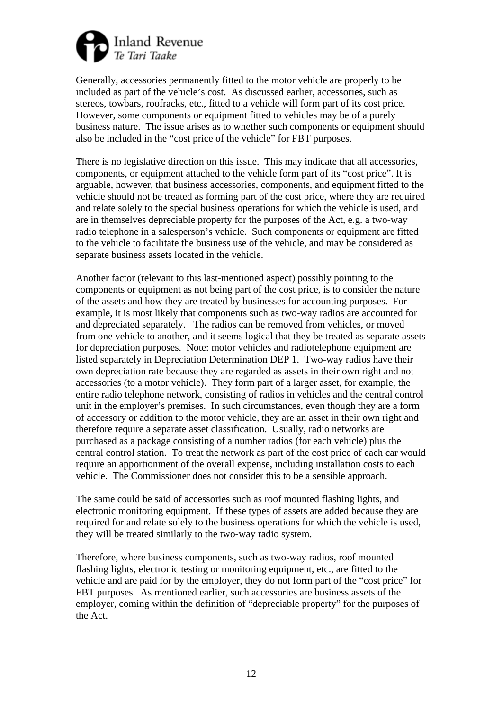

Generally, accessories permanently fitted to the motor vehicle are properly to be included as part of the vehicle's cost. As discussed earlier, accessories, such as stereos, towbars, roofracks, etc., fitted to a vehicle will form part of its cost price. However, some components or equipment fitted to vehicles may be of a purely business nature. The issue arises as to whether such components or equipment should also be included in the "cost price of the vehicle" for FBT purposes.

There is no legislative direction on this issue. This may indicate that all accessories, components, or equipment attached to the vehicle form part of its "cost price". It is arguable, however, that business accessories, components, and equipment fitted to the vehicle should not be treated as forming part of the cost price, where they are required and relate solely to the special business operations for which the vehicle is used, and are in themselves depreciable property for the purposes of the Act, e.g. a two-way radio telephone in a salesperson's vehicle. Such components or equipment are fitted to the vehicle to facilitate the business use of the vehicle, and may be considered as separate business assets located in the vehicle.

Another factor (relevant to this last-mentioned aspect) possibly pointing to the components or equipment as not being part of the cost price, is to consider the nature of the assets and how they are treated by businesses for accounting purposes. For example, it is most likely that components such as two-way radios are accounted for and depreciated separately. The radios can be removed from vehicles, or moved from one vehicle to another, and it seems logical that they be treated as separate assets for depreciation purposes. Note: motor vehicles and radiotelephone equipment are listed separately in Depreciation Determination DEP 1. Two-way radios have their own depreciation rate because they are regarded as assets in their own right and not accessories (to a motor vehicle). They form part of a larger asset, for example, the entire radio telephone network, consisting of radios in vehicles and the central control unit in the employer's premises. In such circumstances, even though they are a form of accessory or addition to the motor vehicle, they are an asset in their own right and therefore require a separate asset classification. Usually, radio networks are purchased as a package consisting of a number radios (for each vehicle) plus the central control station. To treat the network as part of the cost price of each car would require an apportionment of the overall expense, including installation costs to each vehicle. The Commissioner does not consider this to be a sensible approach.

The same could be said of accessories such as roof mounted flashing lights, and electronic monitoring equipment. If these types of assets are added because they are required for and relate solely to the business operations for which the vehicle is used, they will be treated similarly to the two-way radio system.

Therefore, where business components, such as two-way radios, roof mounted flashing lights, electronic testing or monitoring equipment, etc., are fitted to the vehicle and are paid for by the employer, they do not form part of the "cost price" for FBT purposes. As mentioned earlier, such accessories are business assets of the employer, coming within the definition of "depreciable property" for the purposes of the Act.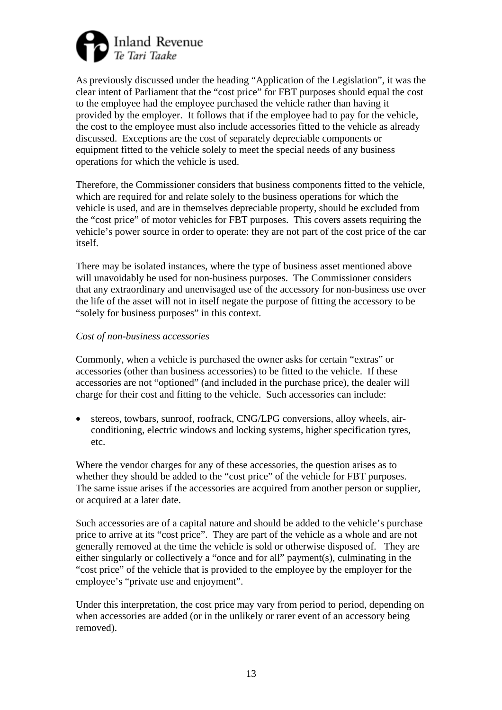

As previously discussed under the heading "Application of the Legislation", it was the clear intent of Parliament that the "cost price" for FBT purposes should equal the cost to the employee had the employee purchased the vehicle rather than having it provided by the employer. It follows that if the employee had to pay for the vehicle, the cost to the employee must also include accessories fitted to the vehicle as already discussed. Exceptions are the cost of separately depreciable components or equipment fitted to the vehicle solely to meet the special needs of any business operations for which the vehicle is used.

Therefore, the Commissioner considers that business components fitted to the vehicle, which are required for and relate solely to the business operations for which the vehicle is used, and are in themselves depreciable property, should be excluded from the "cost price" of motor vehicles for FBT purposes. This covers assets requiring the vehicle's power source in order to operate: they are not part of the cost price of the car itself.

There may be isolated instances, where the type of business asset mentioned above will unavoidably be used for non-business purposes. The Commissioner considers that any extraordinary and unenvisaged use of the accessory for non-business use over the life of the asset will not in itself negate the purpose of fitting the accessory to be "solely for business purposes" in this context.

## *Cost of non-business accessories*

Commonly, when a vehicle is purchased the owner asks for certain "extras" or accessories (other than business accessories) to be fitted to the vehicle. If these accessories are not "optioned" (and included in the purchase price), the dealer will charge for their cost and fitting to the vehicle. Such accessories can include:

• stereos, towbars, sunroof, roofrack, CNG/LPG conversions, alloy wheels, airconditioning, electric windows and locking systems, higher specification tyres, etc.

Where the vendor charges for any of these accessories, the question arises as to whether they should be added to the "cost price" of the vehicle for FBT purposes. The same issue arises if the accessories are acquired from another person or supplier, or acquired at a later date.

Such accessories are of a capital nature and should be added to the vehicle's purchase price to arrive at its "cost price". They are part of the vehicle as a whole and are not generally removed at the time the vehicle is sold or otherwise disposed of. They are either singularly or collectively a "once and for all" payment(s), culminating in the "cost price" of the vehicle that is provided to the employee by the employer for the employee's "private use and enjoyment".

Under this interpretation, the cost price may vary from period to period, depending on when accessories are added (or in the unlikely or rarer event of an accessory being removed).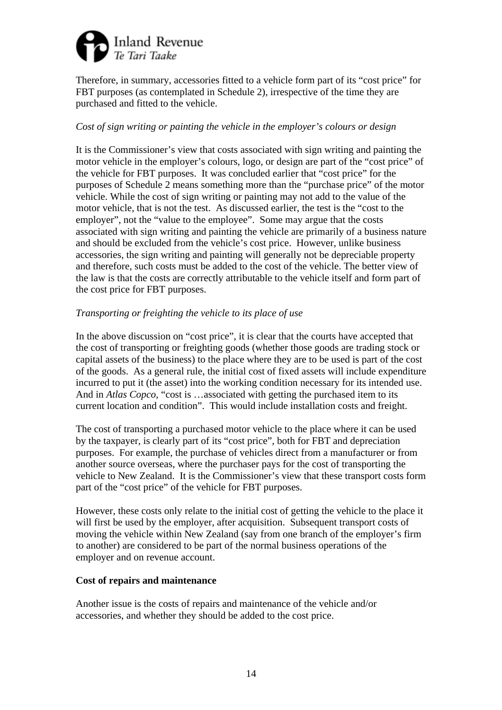

Therefore, in summary, accessories fitted to a vehicle form part of its "cost price" for FBT purposes (as contemplated in Schedule 2), irrespective of the time they are purchased and fitted to the vehicle.

## *Cost of sign writing or painting the vehicle in the employer's colours or design*

It is the Commissioner's view that costs associated with sign writing and painting the motor vehicle in the employer's colours, logo, or design are part of the "cost price" of the vehicle for FBT purposes. It was concluded earlier that "cost price" for the purposes of Schedule 2 means something more than the "purchase price" of the motor vehicle. While the cost of sign writing or painting may not add to the value of the motor vehicle, that is not the test. As discussed earlier, the test is the "cost to the employer", not the "value to the employee". Some may argue that the costs associated with sign writing and painting the vehicle are primarily of a business nature and should be excluded from the vehicle's cost price. However, unlike business accessories, the sign writing and painting will generally not be depreciable property and therefore, such costs must be added to the cost of the vehicle. The better view of the law is that the costs are correctly attributable to the vehicle itself and form part of the cost price for FBT purposes.

## *Transporting or freighting the vehicle to its place of use*

In the above discussion on "cost price", it is clear that the courts have accepted that the cost of transporting or freighting goods (whether those goods are trading stock or capital assets of the business) to the place where they are to be used is part of the cost of the goods. As a general rule, the initial cost of fixed assets will include expenditure incurred to put it (the asset) into the working condition necessary for its intended use. And in *Atlas Copco*, "cost is …associated with getting the purchased item to its current location and condition". This would include installation costs and freight.

The cost of transporting a purchased motor vehicle to the place where it can be used by the taxpayer, is clearly part of its "cost price", both for FBT and depreciation purposes. For example, the purchase of vehicles direct from a manufacturer or from another source overseas, where the purchaser pays for the cost of transporting the vehicle to New Zealand. It is the Commissioner's view that these transport costs form part of the "cost price" of the vehicle for FBT purposes.

However, these costs only relate to the initial cost of getting the vehicle to the place it will first be used by the employer, after acquisition. Subsequent transport costs of moving the vehicle within New Zealand (say from one branch of the employer's firm to another) are considered to be part of the normal business operations of the employer and on revenue account.

## **Cost of repairs and maintenance**

Another issue is the costs of repairs and maintenance of the vehicle and/or accessories, and whether they should be added to the cost price.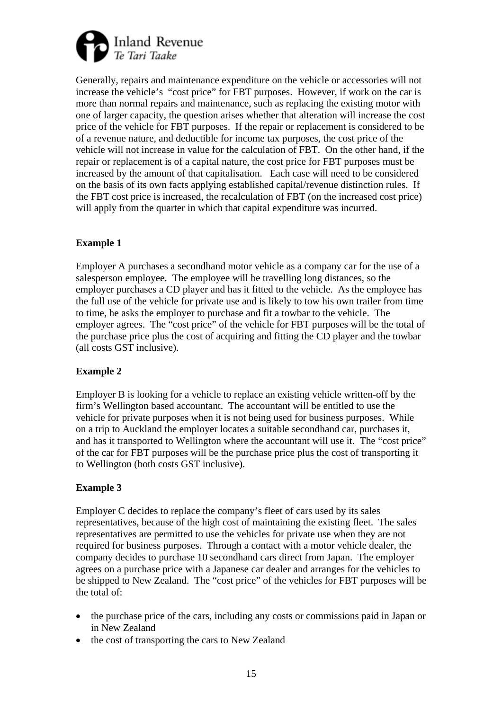

Generally, repairs and maintenance expenditure on the vehicle or accessories will not increase the vehicle's "cost price" for FBT purposes. However, if work on the car is more than normal repairs and maintenance, such as replacing the existing motor with one of larger capacity, the question arises whether that alteration will increase the cost price of the vehicle for FBT purposes. If the repair or replacement is considered to be of a revenue nature, and deductible for income tax purposes, the cost price of the vehicle will not increase in value for the calculation of FBT. On the other hand, if the repair or replacement is of a capital nature, the cost price for FBT purposes must be increased by the amount of that capitalisation. Each case will need to be considered on the basis of its own facts applying established capital/revenue distinction rules. If the FBT cost price is increased, the recalculation of FBT (on the increased cost price) will apply from the quarter in which that capital expenditure was incurred.

## **Example 1**

Employer A purchases a secondhand motor vehicle as a company car for the use of a salesperson employee. The employee will be travelling long distances, so the employer purchases a CD player and has it fitted to the vehicle. As the employee has the full use of the vehicle for private use and is likely to tow his own trailer from time to time, he asks the employer to purchase and fit a towbar to the vehicle. The employer agrees. The "cost price" of the vehicle for FBT purposes will be the total of the purchase price plus the cost of acquiring and fitting the CD player and the towbar (all costs GST inclusive).

## **Example 2**

Employer B is looking for a vehicle to replace an existing vehicle written-off by the firm's Wellington based accountant. The accountant will be entitled to use the vehicle for private purposes when it is not being used for business purposes. While on a trip to Auckland the employer locates a suitable secondhand car, purchases it, and has it transported to Wellington where the accountant will use it. The "cost price" of the car for FBT purposes will be the purchase price plus the cost of transporting it to Wellington (both costs GST inclusive).

## **Example 3**

Employer C decides to replace the company's fleet of cars used by its sales representatives, because of the high cost of maintaining the existing fleet. The sales representatives are permitted to use the vehicles for private use when they are not required for business purposes. Through a contact with a motor vehicle dealer, the company decides to purchase 10 secondhand cars direct from Japan. The employer agrees on a purchase price with a Japanese car dealer and arranges for the vehicles to be shipped to New Zealand. The "cost price" of the vehicles for FBT purposes will be the total of:

- the purchase price of the cars, including any costs or commissions paid in Japan or in New Zealand
- the cost of transporting the cars to New Zealand